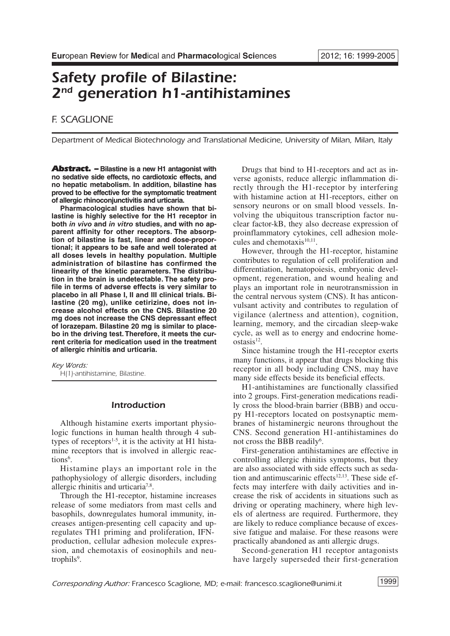# *Safety profile of Bilastine: 2nd generation h1-antihistamines*

# *F. SCAGLIONE*

*Department of Medical Biotechnology and Translational Medicine, University of Milan, Milan, Italy*

*Abstract. –* **Bilastine is a new H1 antagonist with no sedative side effects, no cardiotoxic effects, and no hepatic metabolism. In addition, bilastine has proved to be effective for the symptomatic treatment of allergic rhinoconjunctivitis and urticaria.**

**Pharmacological studies have shown that bilastine is highly selective for the H1 receptor in both** *in vivo* **and** *in vitro* **studies, and with no apparent affinity for other receptors. The absorption of bilastine is fast, linear and dose-proportional; it appears to be safe and well tolerated at all doses levels in healthy population. Multiple administration of bilastine has confirmed the linearity of the kinetic parameters. The distribution in the brain is undetectable. The safety profile in terms of adverse effects is very similar to placebo in all Phase I, II and III clinical trials. Bilastine (20 mg), unlike cetirizine, does not increase alcohol effects on the CNS. Bilastine 20 mg does not increase the CNS depressant effect of lorazepam. Bilastine 20 mg is similar to placebo in the driving test. Therefore, it meets the current criteria for medication used in the treatment of allergic rhinitis and urticaria.**

*Key Words: H(1)-antihistamine, Bilastine.* 

# *Introduction*

Although histamine exerts important physiologic functions in human health through 4 subtypes of receptors<sup>1-5</sup>, it is the activity at H1 histamine receptors that is involved in allergic reactions<sup>6</sup>.

Histamine plays an important role in the pathophysiology of allergic disorders, including allergic rhinitis and urticaria<sup>7,8</sup>.

Through the H1-receptor, histamine increases release of some mediators from mast cells and basophils, downregulates humoral immunity, increases antigen-presenting cell capacity and upregulates TH1 priming and proliferation, IFNproduction, cellular adhesion molecule expression, and chemotaxis of eosinophils and neutrophils<sup>9</sup>.

Drugs that bind to H1-receptors and act as inverse agonists, reduce allergic inflammation directly through the H1-receptor by interfering with histamine action at H1-receptors, either on sensory neurons or on small blood vessels. Involving the ubiquitous transcription factor nuclear factor-kB, they also decrease expression of proinflammatory cytokines, cell adhesion molecules and chemotaxis<sup>10,11</sup>.

However, through the H1-receptor, histamine contributes to regulation of cell proliferation and differentiation, hematopoiesis, embryonic development, regeneration, and wound healing and plays an important role in neurotransmission in the central nervous system (CNS). It has anticonvulsant activity and contributes to regulation of vigilance (alertness and attention), cognition, learning, memory, and the circadian sleep-wake cycle, as well as to energy and endocrine home $o<sub>stasis</sub><sup>12</sup>$ .

Since histamine trough the H1-receptor exerts many functions, it appear that drugs blocking this receptor in all body including CNS, may have many side effects beside its beneficial effects.

H1-antihistamines are functionally classified into 2 groups. First-generation medications readily cross the blood-brain barrier (BBB) and occupy H1-receptors located on postsynaptic membranes of histaminergic neurons throughout the CNS. Second generation H1-antihistamines do not cross the BBB readily<sup>6</sup>.

First-generation antihistamines are effective in controlling allergic rhinitis symptoms, but they are also associated with side effects such as sedation and antimuscarinic effects<sup>12,13</sup>. These side effects may interfere with daily activities and increase the risk of accidents in situations such as driving or operating machinery, where high levels of alertness are required. Furthermore, they are likely to reduce compliance because of excessive fatigue and malaise. For these reasons were practically abandoned as anti allergic drugs.

Second-generation H1 receptor antagonists have largely superseded their first-generation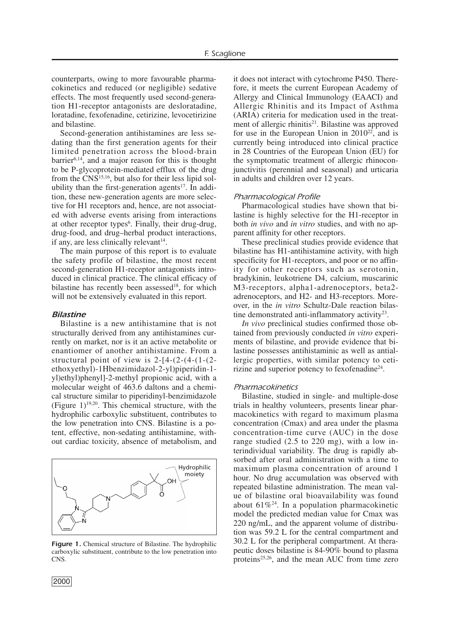counterparts, owing to more favourable pharmacokinetics and reduced (or negligible) sedative effects. The most frequently used second-generation H1-receptor antagonists are desloratadine, loratadine, fexofenadine, cetirizine, levocetirizine and bilastine.

Second-generation antihistamines are less sedating than the first generation agents for their limited penetration across the blood-brain  $barrier<sup>6,14</sup>$ , and a major reason for this is thought to be P-glycoprotein-mediated efflux of the drug from the CNS<sup>15,16</sup>, but also for their less lipid solubility than the first-generation agents<sup>17</sup>. In addition, these new-generation agents are more selective for H1 receptors and, hence, are not associated with adverse events arising from interactions at other receptor types<sup>6</sup>. Finally, their drug-drug, drug-food, and drug–herbal product interactions, if any, are less clinically relevant $14$ .

The main purpose of this report is to evaluate the safety profile of bilastine, the most recent second-generation H1-receptor antagonists introduced in clinical practice. The clinical efficacy of bilastine has recently been assessed<sup>18</sup>, for which will not be extensively evaluated in this report.

# *Bilastine*

Bilastine is a new antihistamine that is not structurally derived from any antihistamines currently on market, nor is it an active metabolite or enantiomer of another antihistamine. From a structural point of view is  $2-[4-(2-(4-(1-(2-\alpha)))]$ ethoxyethyl)-1Hbenzimidazol-2-yl)piperidin-1 yl)ethyl)phenyl]-2-methyl propionic acid, with a molecular weight of 463.6 daltons and a chemical structure similar to piperidinyl-benzimidazole (Figure  $1$ )<sup>19,20</sup>. This chemical structure, with the hydrophilic carboxylic substituent, contributes to the low penetration into CNS. Bilastine is a potent, effective, non-sedating antihistamine, without cardiac toxicity, absence of metabolism, and



*Figure 1.* Chemical structure of Bilastine. The hydrophilic carboxylic substituent, contribute to the low penetration into CNS.

it does not interact with cytochrome P450. Therefore, it meets the current European Academy of Allergy and Clinical Immunology (EAACI) and Allergic Rhinitis and its Impact of Asthma (ARIA) criteria for medication used in the treatment of allergic rhinitis<sup>21</sup>. Bilastine was approved for use in the European Union in  $2010^{22}$ , and is currently being introduced into clinical practice in 28 Countries of the European Union (EU) for the symptomatic treatment of allergic rhinoconjunctivitis (perennial and seasonal) and urticaria in adults and children over 12 years.

#### *Pharmacological Profile*

Pharmacological studies have shown that bilastine is highly selective for the H1-receptor in both *in vivo* and *in vitro* studies, and with no apparent affinity for other receptors.

These preclinical studies provide evidence that bilastine has H1-antihistamine activity, with high specificity for H1-receptors, and poor or no affinity for other receptors such as serotonin, bradykinin, leukotriene D4, calcium, muscarinic M3-receptors, alpha1-adrenoceptors, beta2 adrenoceptors, and H2- and H3-receptors. Moreover, in the *in vitro* Schultz-Dale reaction bilastine demonstrated anti-inflammatory activity<sup>23</sup>.

*In vivo* preclinical studies confirmed those obtained from previously conducted *in vitro* experiments of bilastine, and provide evidence that bilastine possesses antihistaminic as well as antiallergic properties, with similar potency to cetirizine and superior potency to fexofenadine24.

#### *Pharmacokinetics*

Bilastine, studied in single- and multiple-dose trials in healthy volunteers, presents linear pharmacokinetics with regard to maximum plasma concentration (Cmax) and area under the plasma concentration-time curve (AUC) in the dose range studied (2.5 to 220 mg), with a low interindividual variability. The drug is rapidly absorbed after oral administration with a time to maximum plasma concentration of around 1 hour. No drug accumulation was observed with repeated bilastine administration. The mean value of bilastine oral bioavailability was found about  $61\%^{24}$ . In a population pharmacokinetic model the predicted median value for Cmax was 220 ng/mL, and the apparent volume of distribution was 59.2 L for the central compartment and 30.2 L for the peripheral compartment. At therapeutic doses bilastine is 84-90% bound to plasma proteins<sup>25,26</sup>, and the mean AUC from time zero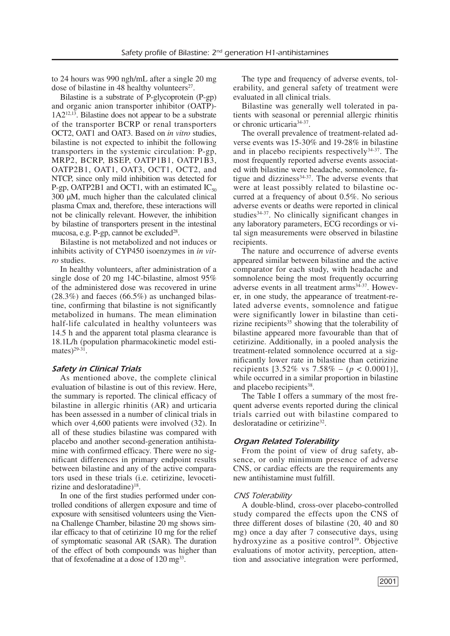to 24 hours was 990 ngh/mL after a single 20 mg dose of bilastine in 48 healthy volunteers<sup>27</sup>.

Bilastine is a substrate of P-glycoprotein (P-gp) and organic anion transporter inhibitor (OATP)-  $1A2^{12,13}$ . Bilastine does not appear to be a substrate of the transporter BCRP or renal transporters OCT2, OAT1 and OAT3. Based on *in vitro* studies, bilastine is not expected to inhibit the following transporters in the systemic circulation: P-gp, MRP2, BCRP, BSEP, OATP1B1, OATP1B3, OATP2B1, OAT1, OAT3, OCT1, OCT2, and NTCP, since only mild inhibition was detected for P-gp, OATP2B1 and OCT1, with an estimated  $IC_{50}$ 300 µM, much higher than the calculated clinical plasma Cmax and, therefore, these interactions will not be clinically relevant. However, the inhibition by bilastine of transporters present in the intestinal mucosa, e.g.  $P$ -gp, cannot be excluded<sup>28</sup>.

Bilastine is not metabolized and not induces or inhibits activity of CYP450 isoenzymes in *in vitro* studies.

In healthy volunteers, after administration of a single dose of 20 mg 14C-bilastine, almost 95% of the administered dose was recovered in urine  $(28.3\%)$  and faeces  $(66.5\%)$  as unchanged bilastine, confirming that bilastine is not significantly metabolized in humans. The mean elimination half-life calculated in healthy volunteers was 14.5 h and the apparent total plasma clearance is 18.1L/h (population pharmacokinetic model estimates)<sup>29-31</sup>.

# *Safety in Clinical Trials*

As mentioned above, the complete clinical evaluation of bilastine is out of this review. Here, the summary is reported. The clinical efficacy of bilastine in allergic rhinitis (AR) and urticaria has been assessed in a number of clinical trials in which over 4,600 patients were involved (32). In all of these studies bilastine was compared with placebo and another second-generation antihistamine with confirmed efficacy. There were no significant differences in primary endpoint results between bilastine and any of the active comparators used in these trials (i.e. cetirizine, levocetirizine and desloratadine $18$ .

In one of the first studies performed under controlled conditions of allergen exposure and time of exposure with sensitised volunteers using the Vienna Challenge Chamber, bilastine 20 mg shows similar efficacy to that of cetirizine 10 mg for the relief of symptomatic seasonal AR (SAR). The duration of the effect of both compounds was higher than that of fexofenadine at a dose of  $120 \text{ m}g^{33}$ .

The type and frequency of adverse events, tolerability, and general safety of treatment were evaluated in all clinical trials.

Bilastine was generally well tolerated in patients with seasonal or perennial allergic rhinitis or chronic urticaria<sup>34-37</sup>.

The overall prevalence of treatment-related adverse events was 15-30% and 19-28% in bilastine and in placebo recipients respectively34-37. The most frequently reported adverse events associated with bilastine were headache, somnolence, fatigue and dizziness<sup>34-37</sup>. The adverse events that were at least possibly related to bilastine occurred at a frequency of about 0.5%. No serious adverse events or deaths were reported in clinical studies<sup>34-37</sup>. No clinically significant changes in any laboratory parameters, ECG recordings or vital sign measurements were observed in bilastine recipients.

The nature and occurrence of adverse events appeared similar between bilastine and the active comparator for each study, with headache and somnolence being the most frequently occurring adverse events in all treatment arms<sup>34-37</sup>. However, in one study, the appearance of treatment-related adverse events, somnolence and fatigue were significantly lower in bilastine than cetirizine recipients $35$  showing that the tolerability of bilastine appeared more favourable than that of cetirizine. Additionally, in a pooled analysis the treatment-related somnolence occurred at a significantly lower rate in bilastine than cetirizine recipients  $[3.52\% \text{ vs } 7.58\% - (p < 0.0001)],$ while occurred in a similar proportion in bilastine and placebo recipients<sup>38</sup>.

The Table I offers a summary of the most frequent adverse events reported during the clinical trials carried out with bilastine compared to desloratadine or cetirizine<sup>32</sup>.

### *Organ Related Tolerability*

From the point of view of drug safety, absence, or only minimum presence of adverse CNS, or cardiac effects are the requirements any new antihistamine must fulfill.

#### *CNS Tolerability*

A double-blind, cross-over placebo-controlled study compared the effects upon the CNS of three different doses of bilastine (20, 40 and 80 mg) once a day after 7 consecutive days, using hydroxyzine as a positive control<sup>39</sup>. Objective evaluations of motor activity, perception, attention and associative integration were performed,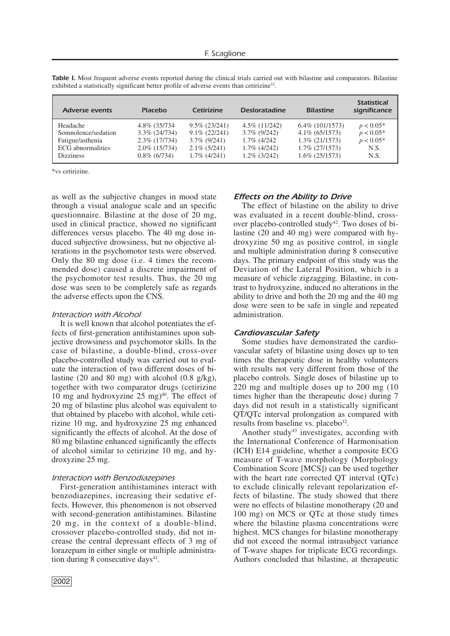| $6.4\%$ (101/1573)<br>$p < 0.05*$ |
|-----------------------------------|
| $p < 0.05*$<br>$p < 0.05*$        |
| N.S.<br>N.S.                      |
|                                   |

*Table I.* Most frequent adverse events reported during the clinical trials carried out with bilastine and comparators. Bilastine exhibited a statistically significant better profile of adverse events than cetirizine<sup>32</sup>.

\*vs cetirizine.

as well as the subjective changes in mood state through a visual analogue scale and an specific questionnaire. Bilastine at the dose of 20 mg, used in clinical practice, showed no significant differences versus placebo. The 40 mg dose induced subjective drowsiness, but no objective alterations in the psychomotor tests were observed. Only the 80 mg dose (i.e. 4 times the recommended dose) caused a discrete impairment of the psychomotor test results. Thus, the 20 mg dose was seen to be completely safe as regards the adverse effects upon the CNS.

#### *Interaction with Alcohol*

It is well known that alcohol potentiates the effects of first-generation antihistamines upon subjective drowsiness and psychomotor skills. In the case of bilastine, a double-blind, cross-over placebo-controlled study was carried out to evaluate the interaction of two different doses of bilastine (20 and 80 mg) with alcohol (0.8 g/kg), together with two comparator drugs (cetirizine 10 mg and hydroxyzine  $25 \text{ mg})^{40}$ . The effect of 20 mg of bilastine plus alcohol was equivalent to that obtained by placebo with alcohol, while cetirizine 10 mg, and hydroxyzine 25 mg enhanced significantly the effects of alcohol. At the dose of 80 mg bilastine enhanced significantly the effects of alcohol similar to cetirizine 10 mg, and hydroxyzine 25 mg.

#### *Interaction with Benzodiazepines*

First-generation antihistamines interact with benzodiazepines, increasing their sedative effects. However, this phenomenon is not observed with second-generation antihistamines. Bilastine 20 mg, in the context of a double-blind, crossover placebo-controlled study, did not increase the central depressant effects of 3 mg of lorazepam in either single or multiple administration during 8 consecutive days $41$ .

# *Effects on the Ability to Drive*

The effect of bilastine on the ability to drive was evaluated in a recent double-blind, crossover placebo-controlled study<sup>42</sup>. Two doses of bilastine (20 and 40 mg) were compared with hydroxyzine 50 mg as positive control, in single and multiple administration during 8 consecutive days. The primary endpoint of this study was the Deviation of the Lateral Position, which is a measure of vehicle zigzagging. Bilastine, in contrast to hydroxyzine, induced no alterations in the ability to drive and both the 20 mg and the 40 mg dose were seen to be safe in single and repeated administration.

#### *Cardiovascular Safety*

Some studies have demonstrated the cardiovascular safety of bilastine using doses up to ten times the therapeutic dose in healthy volunteers with results not very different from those of the placebo controls. Single doses of bilastine up to 220 mg and multiple doses up to 200 mg (10 times higher than the therapeutic dose) during 7 days did not result in a statistically significant QT/QTc interval prolongation as compared with results from baseline vs. placebo<sup>32</sup>.

Another study<sup>43</sup> investigates, according with the International Conference of Harmonisation (ICH) E14 guideline, whether a composite ECG measure of T-wave morphology (Morphology Combination Score [MCS]) can be used together with the heart rate corrected QT interval (QTc) to exclude clinically relevant repolarization effects of bilastine. The study showed that there were no effects of bilastine monotherapy (20 and 100 mg) on MCS or QTc at those study times where the bilastine plasma concentrations were highest. MCS changes for bilastine monotherapy did not exceed the normal intrasubject variance of T-wave shapes for triplicate ECG recordings. Authors concluded that bilastine, at therapeutic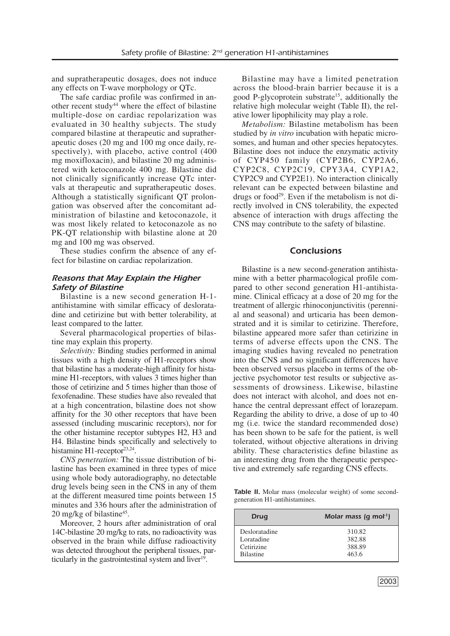and supratherapeutic dosages, does not induce any effects on T-wave morphology or QTc.

The safe cardiac profile was confirmed in another recent study<sup>44</sup> where the effect of bilastine multiple-dose on cardiac repolarization was evaluated in 30 healthy subjects. The study compared bilastine at therapeutic and supratherapeutic doses (20 mg and 100 mg once daily, respectively), with placebo, active control (400 mg moxifloxacin), and bilastine 20 mg administered with ketoconazole 400 mg. Bilastine did not clinically significantly increase QTc intervals at therapeutic and supratherapeutic doses. Although a statistically significant QT prolongation was observed after the concomitant administration of bilastine and ketoconazole, it was most likely related to ketoconazole as no PK-QT relationship with bilastine alone at 20 mg and 100 mg was observed.

These studies confirm the absence of any effect for bilastine on cardiac repolarization.

# *Reasons that May Explain the Higher Safety of Bilastine*

Bilastine is a new second generation H-1 antihistamine with similar efficacy of desloratadine and cetirizine but with better tolerability, at least compared to the latter.

Several pharmacological properties of bilastine may explain this property.

*Selectivity:* Binding studies performed in animal tissues with a high density of H1-receptors show that bilastine has a moderate-high affinity for histamine H1-receptors, with values 3 times higher than those of cetirizine and 5 times higher than those of fexofenadine. These studies have also revealed that at a high concentration, bilastine does not show affinity for the 30 other receptors that have been assessed (including muscarinic receptors), nor for the other histamine receptor subtypes H2, H3 and H4. Bilastine binds specifically and selectively to histamine H1-receptor<sup>23,24</sup>.

*CNS penetration:* The tissue distribution of bilastine has been examined in three types of mice using whole body autoradiography, no detectable drug levels being seen in the CNS in any of them at the different measured time points between 15 minutes and 336 hours after the administration of 20 mg/kg of bilastine<sup>45</sup>.

Moreover, 2 hours after administration of oral 14C-bilastine 20 mg/kg to rats, no radioactivity was observed in the brain while diffuse radioactivity was detected throughout the peripheral tissues, particularly in the gastrointestinal system and liver<sup>19</sup>.

Bilastine may have a limited penetration across the blood-brain barrier because it is a good P-glycoprotein substrate<sup>15</sup>, additionally the relative high molecular weight (Table II), the relative lower lipophilicity may play a role.

*Metabolism:* Bilastine metabolism has been studied by *in vitro* incubation with hepatic microsomes, and human and other species hepatocytes. Bilastine does not induce the enzymatic activity of CYP450 family (CYP2B6, CYP2A6, CYP2C8, CYP2C19, CPY3A4, CYP1A2, CYP2C9 and CYP2E1). No interaction clinically relevant can be expected between bilastine and drugs or food29. Even if the metabolism is not directly involved in CNS tolerability, the expected absence of interaction with drugs affecting the CNS may contribute to the safety of bilastine.

# *Conclusions*

Bilastine is a new second-generation antihistamine with a better pharmacological profile compared to other second generation H1-antihistamine. Clinical efficacy at a dose of 20 mg for the treatment of allergic rhinoconjunctivitis (perennial and seasonal) and urticaria has been demonstrated and it is similar to cetirizine. Therefore, bilastine appeared more safer than cetirizine in terms of adverse effects upon the CNS. The imaging studies having revealed no penetration into the CNS and no significant differences have been observed versus placebo in terms of the objective psychomotor test results or subjective assessments of drowsiness. Likewise, bilastine does not interact with alcohol, and does not enhance the central depressant effect of lorazepam. Regarding the ability to drive, a dose of up to 40 mg (i.e. twice the standard recommended dose) has been shown to be safe for the patient, is well tolerated, without objective alterations in driving ability. These characteristics define bilastine as an interesting drug from the therapeutic perspective and extremely safe regarding CNS effects.

*Table II.* Molar mass (molecular weight) of some secondgeneration H1-antihistamines.

| <b>Drug</b>      | Molar mass $(q \text{ mol}^1)$ |
|------------------|--------------------------------|
| Desloratadine    | 310.82                         |
| Loratadine       | 382.88                         |
| Cetirizine       | 388.89                         |
| <b>Bilastine</b> | 463.6                          |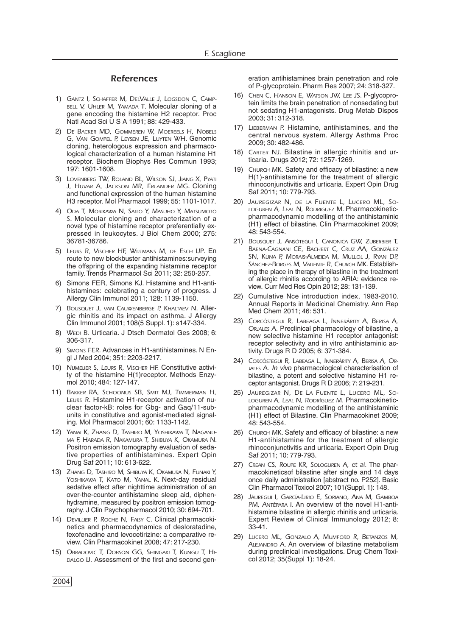#### *References*

- 1) *GANTZ I, SCHAFFER M, DELVALLE J, LOGSDON C, CAMP-BELL V, UHLER M, YAMADA T*. Molecular cloning of a gene encoding the histamine H2 receptor. Proc Natl Acad Sci U S A 1991; 88: 429-433.
- 2) *DE BACKER MD, GOMMEREN W, MOEREELS H, NOBELS G, VAN GOMPEL P, LEYSEN JE, LUYTEN WH*. Genomic cloning, heterologous expression and pharmacological characterization of a human histamine H1 receptor. Biochem Biophys Res Commun 1993; 197: 1601-1608.
- 3) *LOVENBERG TW, ROLAND BL, WILSON SJ, JIANG X, PYATI J, HUVAR A, JACKSON MR, ERLANDER MG*. Cloning and functional expression of the human histamine H3 receptor. Mol Pharmacol 1999; 55: 1101-1017.
- 4) *ODA T, MORIKAWA N, SAITO Y, MASUHO Y, MATSUMOTO S*. Molecular cloning and characterization of a novel type of histamine receptor preferentially expressed in leukocytes. J Biol Chem 2000; 275: 36781-36786.
- 5) *LEURS R, VISCHER HF, WIJTMANS M, DE ESCH IJP*. En route to new blockbuster antihistamines:surveying the offspring of the expanding histamine receptor family. Trends Pharmacol Sci 2011; 32: 250-257.
- 6) Simons FER, Simons KJ. Histamine and H1-antihistamines: celebrating a century of progress. J Allergy Clin Immunol 2011; 128: 1139-1150.
- 7) *BOUSQUET J, VAN CAUWENBERGE P, KHALTAEV N.* Allergic rhinitis and its impact on asthma. J Allergy Clin Immunol 2001; 108(5 Suppl. 1): s147-334.
- 8) *WEDI B.* Urticaria. J Dtsch Dermatol Ges 2008; 6: 306-317.
- 9) *SIMONS FER*. Advances in H1-antihistamines. N Engl J Med 2004; 351: 2203-2217.
- 10) *NIJMEIJER S, LEURS R, VISCHER HF.* Constitutive activity of the histamine H(1)receptor. Methods Enzymol 2010; 484: 127-147.
- 11) *BAKKER RA, SCHOONUS SB, SMIT MJ, TIMMERMAN H, LEURS R*. Histamine H1-receptor activation of nuclear factor-kB: roles for Gbg- and Gaq/11-subunits in constitutive and agonist-mediated signaling. Mol Pharmacol 2001; 60: 1133-1142.
- 12) *YANAI K, ZHANG D, TASHIRO M, YOSHIKAWA T, NAGANU-MA F, HARADA R, NAKAMURA T, SHIBUYA K, OKAMURA N*. Positron emission tomography evaluation of sedative properties of antihistamines. Expert Opin Drug Saf 2011; 10: 613-622.
- 13) *ZHANG D, TASHIRO M, SHIBUYA K, OKAMURA N, FUNAKI Y, YOSHIKAWA T, KATO M, YANAL K*. Next-day residual sedative effect after nighttime administration of an over-the-counter antihistamine sleep aid, diphenhydramine, measured by positron emission tomography. J Clin Psychopharmacol 2010; 30: 694-701.
- 14) *DEVILLIER P, ROCHE N, FAISY C*. Clinical pharmacokinetics and pharmacodynamics of desloratadine, fexofenadine and levocetirizine: a comparative review. Clin Pharmacokinet 2008; 47: 217-230.
- 15) *OBRADOVIC T, DOBSON GG, SHINGAKI T, KUNGU T, HI-DALGO IJ.* Assessment of the first and second gen-

eration antihistamines brain penetration and role of P-glycoprotein. Pharm Res 2007; 24: 318-327.

- 16) *CHEN C, HANSON E, WATSON JW, LEE JS*. P-glycoprotein limits the brain penetration of nonsedating but not sedating H1-antagonists. Drug Metab Dispos 2003; 31: 312-318.
- 17) *LIEBERMAN P.* Histamine, antihistamines, and the central nervous system. Allergy Asthma Proc 2009; 30: 482-486.
- 18) *CARTER NJ*. Bilastine in allergic rhinitis and urticaria. Drugs 2012; 72: 1257-1269.
- 19) *CHURCH MK.* Safety and efficacy of bilastine: a new H(1)-antihistamine for the treatment of allergic rhinoconjunctivitis and urticaria. Expert Opin Drug Saf 2011; 10: 779-793.
- 20) *JAUREGIZAR N, DE LA FUENTE L, LUCERO ML, SO-LOGUREN A, LEAL N, RODRIGUEZ M*. Pharmacokineticpharmacodynamic modelling of the antihistaminic (H1) effect of bilastine. Clin Pharmacokinet 2009; 48: 543-554.
- 21) *BOUSQUET J, ANSÓTEGUI I, CANONICA GW, ZUBERBIER T, BAENA-CAGNANI CE, BACHERT C, CRUZ AA, GONZÁLEZ SN, KUNA P, MORAIS-ALMEIDA M, MULLOL J, RYAN DP, SÁNCHEZ-BORGES M, VALIENTE R, CHURCH MK*. Establishing the place in therapy of bilastine in the treatment of allergic rhinitis according to ARIA: evidence review. Curr Med Res Opin 2012; 28: 131-139.
- 22) Cumulative Nce introduction index, 1983-2010. Annual Reports in Medicinal Chemistry. Ann Rep Med Chem 2011; 46: 531.
- 23) *CORCÓSTEGUI R, LABEAGA L, INNERÁRITY A, BERISA A, ORJALES A.* Preclinical pharmacology of bilastine, a new selective histamine H1 receptor antagonist: receptor selectivity and in vitro antihistaminic activity. Drugs R D 2005; 6: 371-384.
- 24) *CORCÓSTEGUI R, LABEAGA L, INNERÁRITY A, BERISA A, OR-JALES A.* In vivo pharmacological characterisation of bilastine, a potent and selective histamine H1 receptor antagonist. Drugs R D 2006; 7: 219-231.
- 25) *JAUREGIZAR N, DE LA FUENTE L, LUCERO ML, SO-LOGUREN A, LEAL N, RODRÍGUEZ M.* Pharmacokineticpharmacodynamic modelling of the antihistaminic (H1) effect of Bilastine. Clin Pharmacokinet 2009; 48: 543-554.
- 26) *CHURCH MK*. Safety and efficacy of bilastine: a new H1-antihistamine for the treatment of allergic rhinoconjunctivitis and urticaria. Expert Opin Drug Saf 2011; 10: 779-793.
- 27) *CREAN CS, ROUPE KR, SOLOGUREN A, et al.* The pharmacokineticsof bilastine after single and 14 days once daily administration [abstract no. P252]. Basic Clin Pharmacol Toxicol 2007; 101(Suppl. 1): 148.
- 28) *JÁUREGUI I, GARCÍA-LIRIO E, SORIANO, ANA M, GAMBOA PM, ANTÉPARA I*. An overview of the novel H1-antihistamine bilastine in allergic rhinitis and urticaria. Expert Review of Clinical Immunology 2012; 8: 33-41.
- 29) *LUCERO ML, GONZALO A, MUMFORD R, BETANZOS M, ALEJANDRO A*. An overview of bilastine metabolism during preclinical investigations. Drug Chem Toxicol 2012; 35(Suppl 1): 18-24.